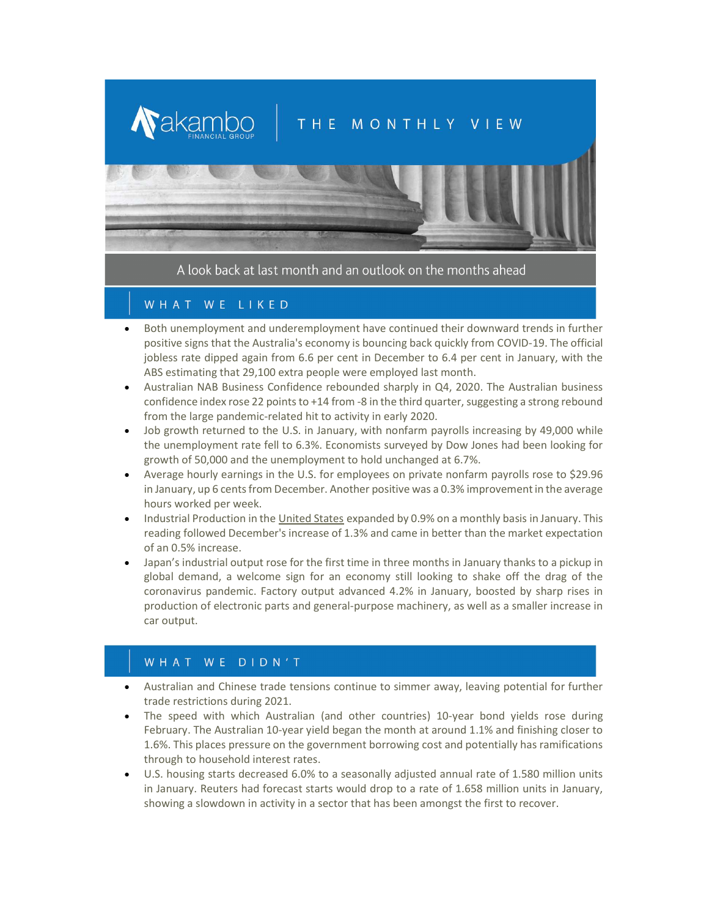# THE MONTHLY VIEW



A look back at last month and an outlook on the months ahead

## WHAT WE LIKED

**N**akambo

- Both unemployment and underemployment have continued their downward trends in further positive signs that the Australia's economy is bouncing back quickly from COVID-19. The official jobless rate dipped again from 6.6 per cent in December to 6.4 per cent in January, with the ABS estimating that 29,100 extra people were employed last month.
- Australian NAB Business Confidence rebounded sharply in Q4, 2020. The Australian business confidence index rose 22 points to +14 from -8 in the third quarter, suggesting a strong rebound from the large pandemic-related hit to activity in early 2020.
- Job growth returned to the U.S. in January, with nonfarm payrolls increasing by 49,000 while the unemployment rate fell to 6.3%. Economists surveyed by Dow Jones had been looking for growth of 50,000 and the unemployment to hold unchanged at 6.7%.
- Average hourly earnings in the U.S. for employees on private nonfarm payrolls rose to \$29.96 in January, up 6 cents from December. Another positive was a 0.3% improvement in the average hours worked per week.
- Industrial Production in the United States expanded by 0.9% on a monthly basis in January. This reading followed December's increase of 1.3% and came in better than the market expectation of an 0.5% increase.
- Japan's industrial output rose for the first time in three months in January thanks to a pickup in global demand, a welcome sign for an economy still looking to shake off the drag of the coronavirus pandemic. Factory output advanced 4.2% in January, boosted by sharp rises in production of electronic parts and general-purpose machinery, as well as a smaller increase in car output.

## WHAT WE DIDN'T

- Australian and Chinese trade tensions continue to simmer away, leaving potential for further trade restrictions during 2021.
- The speed with which Australian (and other countries) 10-year bond yields rose during February. The Australian 10-year yield began the month at around 1.1% and finishing closer to 1.6%. This places pressure on the government borrowing cost and potentially has ramifications through to household interest rates.
- U.S. housing starts decreased 6.0% to a seasonally adjusted annual rate of 1.580 million units in January. Reuters had forecast starts would drop to a rate of 1.658 million units in January, showing a slowdown in activity in a sector that has been amongst the first to recover.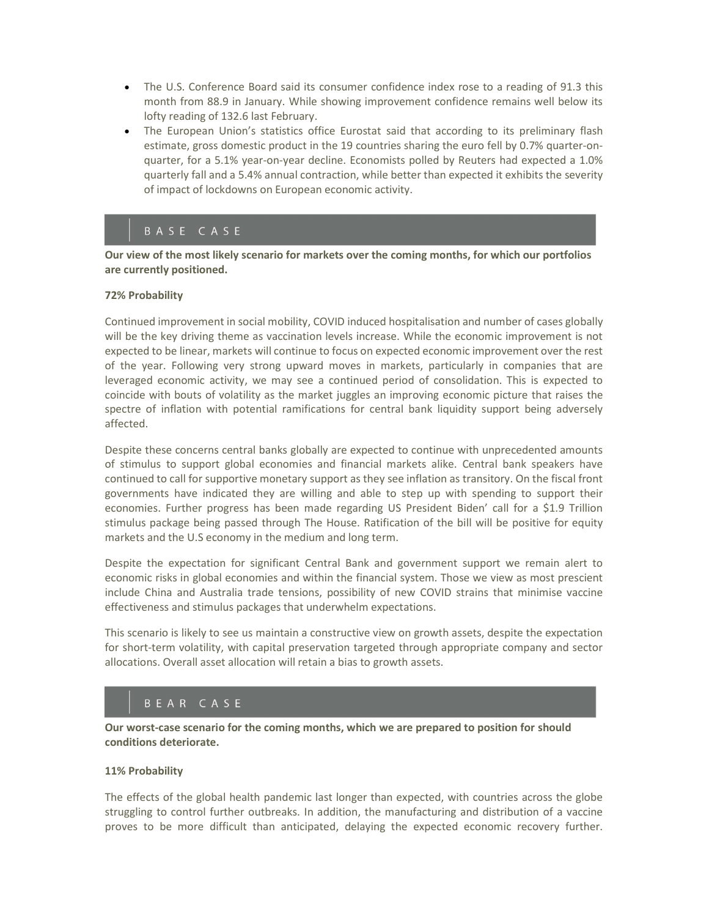- The U.S. Conference Board said its consumer confidence index rose to a reading of 91.3 this month from 88.9 in January. While showing improvement confidence remains well below its lofty reading of 132.6 last February.
- The European Union's statistics office Eurostat said that according to its preliminary flash estimate, gross domestic product in the 19 countries sharing the euro fell by 0.7% quarter-onquarter, for a 5.1% year-on-year decline. Economists polled by Reuters had expected a 1.0% quarterly fall and a 5.4% annual contraction, while better than expected it exhibits the severity of impact of lockdowns on European economic activity.

## BASE CASE

Our view of the most likely scenario for markets over the coming months, for which our portfolios are currently positioned.

#### 72% Probability

Continued improvement in social mobility, COVID induced hospitalisation and number of cases globally will be the key driving theme as vaccination levels increase. While the economic improvement is not expected to be linear, markets will continue to focus on expected economic improvement over the rest of the year. Following very strong upward moves in markets, particularly in companies that are leveraged economic activity, we may see a continued period of consolidation. This is expected to coincide with bouts of volatility as the market juggles an improving economic picture that raises the spectre of inflation with potential ramifications for central bank liquidity support being adversely affected.

Despite these concerns central banks globally are expected to continue with unprecedented amounts of stimulus to support global economies and financial markets alike. Central bank speakers have continued to call for supportive monetary support as they see inflation as transitory. On the fiscal front governments have indicated they are willing and able to step up with spending to support their economies. Further progress has been made regarding US President Biden' call for a \$1.9 Trillion stimulus package being passed through The House. Ratification of the bill will be positive for equity markets and the U.S economy in the medium and long term.

Despite the expectation for significant Central Bank and government support we remain alert to economic risks in global economies and within the financial system. Those we view as most prescient include China and Australia trade tensions, possibility of new COVID strains that minimise vaccine effectiveness and stimulus packages that underwhelm expectations.

This scenario is likely to see us maintain a constructive view on growth assets, despite the expectation for short-term volatility, with capital preservation targeted through appropriate company and sector allocations. Overall asset allocation will retain a bias to growth assets.

## BEAR CASE

Our worst-case scenario for the coming months, which we are prepared to position for should conditions deteriorate.

#### 11% Probability

The effects of the global health pandemic last longer than expected, with countries across the globe struggling to control further outbreaks. In addition, the manufacturing and distribution of a vaccine proves to be more difficult than anticipated, delaying the expected economic recovery further.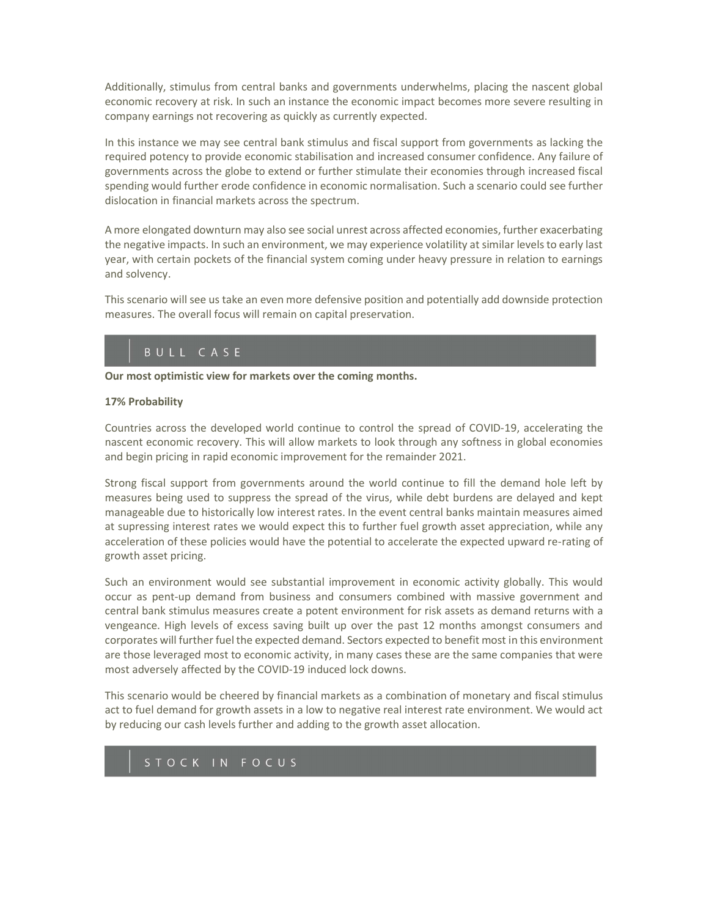Additionally, stimulus from central banks and governments underwhelms, placing the nascent global economic recovery at risk. In such an instance the economic impact becomes more severe resulting in company earnings not recovering as quickly as currently expected.

In this instance we may see central bank stimulus and fiscal support from governments as lacking the required potency to provide economic stabilisation and increased consumer confidence. Any failure of governments across the globe to extend or further stimulate their economies through increased fiscal spending would further erode confidence in economic normalisation. Such a scenario could see further dislocation in financial markets across the spectrum.

A more elongated downturn may also see social unrest across affected economies, further exacerbating the negative impacts. In such an environment, we may experience volatility at similar levels to early last year, with certain pockets of the financial system coming under heavy pressure in relation to earnings and solvency.

This scenario will see us take an even more defensive position and potentially add downside protection measures. The overall focus will remain on capital preservation.

## BULL CASE

Our most optimistic view for markets over the coming months.

### 17% Probability

Countries across the developed world continue to control the spread of COVID-19, accelerating the nascent economic recovery. This will allow markets to look through any softness in global economies and begin pricing in rapid economic improvement for the remainder 2021.

Strong fiscal support from governments around the world continue to fill the demand hole left by measures being used to suppress the spread of the virus, while debt burdens are delayed and kept manageable due to historically low interest rates. In the event central banks maintain measures aimed at supressing interest rates we would expect this to further fuel growth asset appreciation, while any acceleration of these policies would have the potential to accelerate the expected upward re-rating of growth asset pricing.

Such an environment would see substantial improvement in economic activity globally. This would occur as pent-up demand from business and consumers combined with massive government and central bank stimulus measures create a potent environment for risk assets as demand returns with a vengeance. High levels of excess saving built up over the past 12 months amongst consumers and corporates will further fuel the expected demand. Sectors expected to benefit most in this environment are those leveraged most to economic activity, in many cases these are the same companies that were most adversely affected by the COVID-19 induced lock downs.

This scenario would be cheered by financial markets as a combination of monetary and fiscal stimulus act to fuel demand for growth assets in a low to negative real interest rate environment. We would act by reducing our cash levels further and adding to the growth asset allocation.

## STOCK IN FOCUS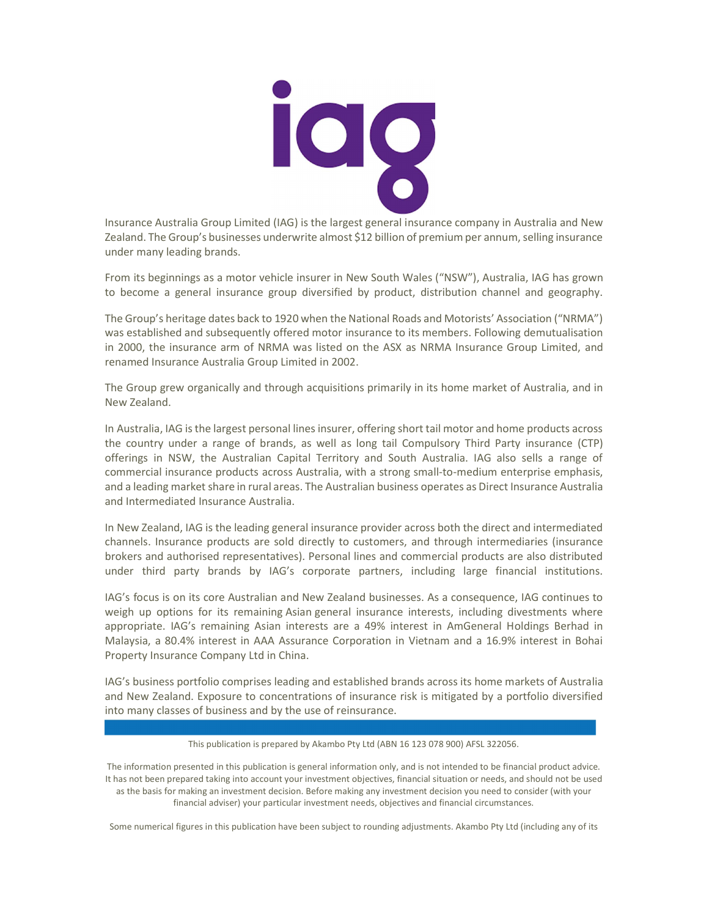

Insurance Australia Group Limited (IAG) is the largest general insurance company in Australia and New Zealand. The Group's businesses underwrite almost \$12 billion of premium per annum, selling insurance under many leading brands.

From its beginnings as a motor vehicle insurer in New South Wales ("NSW"), Australia, IAG has grown to become a general insurance group diversified by product, distribution channel and geography.

The Group's heritage dates back to 1920 when the National Roads and Motorists' Association ("NRMA") was established and subsequently offered motor insurance to its members. Following demutualisation in 2000, the insurance arm of NRMA was listed on the ASX as NRMA Insurance Group Limited, and renamed Insurance Australia Group Limited in 2002.

The Group grew organically and through acquisitions primarily in its home market of Australia, and in New Zealand.

In Australia, IAG is the largest personal lines insurer, offering short tail motor and home products across the country under a range of brands, as well as long tail Compulsory Third Party insurance (CTP) offerings in NSW, the Australian Capital Territory and South Australia. IAG also sells a range of commercial insurance products across Australia, with a strong small-to-medium enterprise emphasis, and a leading market share in rural areas. The Australian business operates as Direct Insurance Australia and Intermediated Insurance Australia.

In New Zealand, IAG is the leading general insurance provider across both the direct and intermediated channels. Insurance products are sold directly to customers, and through intermediaries (insurance brokers and authorised representatives). Personal lines and commercial products are also distributed under third party brands by IAG's corporate partners, including large financial institutions.

IAG's focus is on its core Australian and New Zealand businesses. As a consequence, IAG continues to weigh up options for its remaining Asian general insurance interests, including divestments where appropriate. IAG's remaining Asian interests are a 49% interest in AmGeneral Holdings Berhad in Malaysia, a 80.4% interest in AAA Assurance Corporation in Vietnam and a 16.9% interest in Bohai Property Insurance Company Ltd in China.

IAG's business portfolio comprises leading and established brands across its home markets of Australia and New Zealand. Exposure to concentrations of insurance risk is mitigated by a portfolio diversified into many classes of business and by the use of reinsurance.

#### This publication is prepared by Akambo Pty Ltd (ABN 16 123 078 900) AFSL 322056.

The information presented in this publication is general information only, and is not intended to be financial product advice. It has not been prepared taking into account your investment objectives, financial situation or needs, and should not be used as the basis for making an investment decision. Before making any investment decision you need to consider (with your financial adviser) your particular investment needs, objectives and financial circumstances.

Some numerical figures in this publication have been subject to rounding adjustments. Akambo Pty Ltd (including any of its